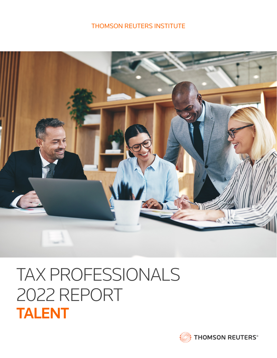### THOMSON REUTERS INSTITUTE



# TAX PROFESSIONALS 2022 REPORT TALENT

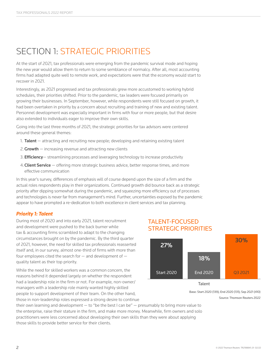## SECTION 1: STRATEGIC PRIORITIES

At the start of 2021, tax professionals were emerging from the pandemic survival mode and hoping the new year would allow them to return to some semblance of normalcy. After all, most accounting firms had adapted quite well to remote work, and expectations were that the economy would start to recover in 2021.

Interestingly, as 2021 progressed and tax professionals grew more accustomed to working hybrid schedules, their priorities shifted. Prior to the pandemic, tax leaders were focused primarily on growing their businesses. In September, however, while respondents were still focused on growth, it had been overtaken in priority by a concern about recruiting and training of new and existing talent. Personnel development was especially important in firms with four or more people, but that desire also extended to individuals eager to improve their own skills.

Going into the last three months of 2021, the strategic priorities for tax advisors were centered around these general themes:

- 1. **Talent**  $-$  attracting and recruiting new people; developing and retaining existing talent
- 2. Growth  $-$  increasing revenue and attracting new clients
- 3. **Efficiency** streamlining processes and leveraging technology to increase productivity
- 4. **Client Service**  $-$  offering more strategic business advice, better response times, and more effective communication

In this year's survey, differences of emphasis will of course depend upon the size of a firm and the actual roles respondents play in their organizations. Continued growth did bounce back as a strategic priority after dipping somewhat during the pandemic, and squeezing more efficiency out of processes and technologies is never far from management's mind. Further, uncertainties exposed by the pandemic appear to have prompted a re-dedication to both excellence in client services and tax planning.

#### *Priority 1: Talent*

During most of 2020 and into early 2021, talent recruitment and development were pushed to the back burner while tax & accounting firms scrambled to adapt to the changing circumstances brought on by the pandemic. By the third quarter of 2021, however, the need for skilled tax professionals reasserted itself and, in our survey, almost one-third of firms with more than four employees cited the search for — and development of quality talent as their top priority.

While the need for skilled workers was a common concern, the reasons behind it depended largely on whether the respondent had a leadership role in the firm or not. For example, non-owner/ managers with a leadership role mainly wanted highly skilled people to support development of their team. On the other hand, those in non-leadership roles expressed a strong desire to continue

#### TALENT-FOCUSED STRATEGIC PRIORITIES



Base: Start 2020 (139); End 2020 (131); Sep 2021 (410) Source: Thomson Reuters 2022

their own learning and development — to "be the best I can be" — presumably to bring more value to the enterprise, raise their stature in the firm, and make more money. Meanwhile, firm owners and solo practitioners were less concerned about developing their own skills than they were about applying those skills to provide better service for their clients.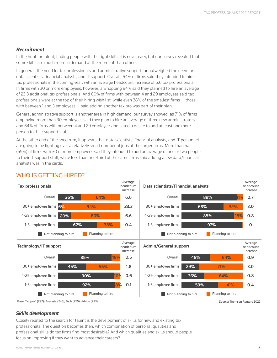#### *Recruitment*

In the hunt for talent, finding people with the right skillset is never easy, but our survey revealed that some skills are much more in demand at the moment than others.

In general, the need for tax professionals and administrative support far outweighed the need for data scientists, financial analysts, and IT support. Overall, 64% of firms said they intended to hire tax professionals in the coming year, with an average headcount increase of 6.6 tax professionals. In firms with 30 or more employees, however, a whopping 94% said they planned to hire an average of 23.3 additional tax professionals. And 80% of firms with between 4 and 29 employees said tax professionals were at the top of their hiring wish list, while even 38% of the smallest firms — those with between 1 and 3 employees — said adding another tax pro was part of their plan.

General administrative support is another area in high demand, our survey showed, as 71% of firms employing more than 30 employees said they plan to hire an average of three new administrators, and 64% of firms with between 4 and 29 employees indicated a desire to add at least one more person to their support staff.

At the other end of the spectrum, it appears that data scientists, financial analysts, and IT personnel are going to be fighting over a relatively small number of jobs at the larger firms. More than half (55%) of firms with 30 or more employees said they intended to add an average of one or two people to their IT support staff, while less than one-third of the same firms said adding a few data/financial analysts was in the cards.



Average

#### WHO IS GETTING HIRED?

Source: Thomson Reuters 2022

Average

#### *Skills development*

Closely related to the search for talent is the development of skills for new and existing tax professionals. The question becomes then, which combination of personal qualities and professional skills do tax firms find most desirable? And which qualities and skills should people focus on improving if they want to advance their careers?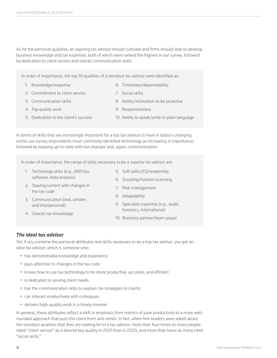As for the personal qualities, an aspiring tax advisor should cultivate and firms should seek to develop business knowledge and tax expertise, both of which were ranked the highest in our survey, followed by dedication to client service and overall communication skills.

In order of importance, the top 10 qualities of a *standout tax advisor* were identified as:

- 1. Knowledge/expertise
- 2. Commitment to client service
- 3. Communication skills
- 4. Top quality work
- 5. Dedication to the client's success
- 9. Responsiveness

7. Social skills

6. Timeliness/dependability

10. Ability to speak/write in plain language

8. Ability/inclination to be proactive

In terms of skills that are *increasingly* important for a top tax advisor to have in today's changing world, our survey respondents most commonly identified technology as increasing in importance, followed by keeping up-to-date with tax changes and, again, communication.

In order of importance, the range of skills necessary to be a *superior tax advisor* are:

- 1. Technology skills (e.g., ERP/tax software, data analysis)
- 2. Staying current with changes in the tax code
- 3. Communication (oral, written, and interpersonal)

4. Overall tax knowledge

- 5. Soft skills/EQ/leadership 6. Scouting/horizon scanning
- 7. Risk management
- 8. Adaptability
- 9. Specialist expertise (*e.g*., audit, forensics, international)
- 10. Business partner/team player

#### *The ideal tax advisor*

Yet, if you combine the personal attributes and skills necessary to be a top tax advisor, you get an *ideal tax advisor*, which is someone who:

- has demonstrable knowledge and experience
- pays attention to changes in the tax code
- knows how to use tax technology to be more productive, accurate, and efficient
- is dedicated to serving client needs
- has the communication skills to explain tax strategies to clients
- can interact productively with colleagues
- delivers high-quality work in a timely manner

In general, these attributes reflect a shift in emphasis from metrics of pure productivity to a more wellrounded approach that puts the client front and center. In fact, when firm leaders were asked about the standout qualities that they are looking for in a tax advisor, more than four-times as many people rated "client service" as a desired key quality in 2021 than in 2020, and more than twice as many cited "social skills."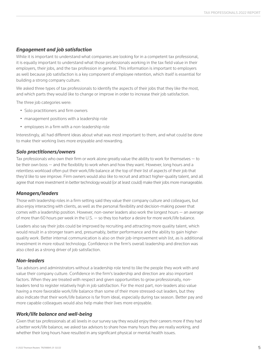#### *Engagement and job satisfaction*

While it is important to understand what companies are looking for in a competent tax professional, it is equally important to understand what those professionals working in the tax field value in their employers, their jobs, and the tax profession in general. This information is important to employers as well because job satisfaction is a key component of employee retention, which itself is essential for building a strong company culture.

We asked three types of tax professionals to identify the aspects of their jobs that they like the most, and which parts they would like to change or improve in order to increase their job satisfaction.

The three job categories were:

- Solo practitioners and firm owners
- management positions with a leadership role
- employees in a firm with a non-leadership role

Interestingly, all had different ideas about what was most important to them, and what could be done to make their working lives more enjoyable and rewarding.

#### *Solo practitioners/owners*

Tax professionals who own their firm or work alone greatly value the ability to work for themselves — to be their own boss — and the flexibility to work when and how they want. However, long hours and a relentless workload often put their work/life balance at the top of their list of aspects of their job that they'd like to see improve. Firm owners would also like to recruit and attract higher-quality talent, and all agree that more investment in better technology would (or at least could) make their jobs more manageable.

#### *Managers/leaders*

Those with leadership roles in a firm setting said they value their company culture and colleagues, but also enjoy interacting with clients, as well as the personal flexibility and decision-making power that comes with a leadership position. However, non-owner leaders also work the longest hours — an average of more than 60 hours per week in the U.S. — so they too harbor a desire for more work/life balance.

Leaders also say their jobs could be improved by recruiting and attracting more quality talent, which would result in a stronger team and, presumably, better performance and the ability to gain higherquality work. Better internal communication is also on their job-improvement wish list, as is additional investment in more robust technology. Confidence in the firm's overall leadership and direction was also cited as a strong driver of job satisfaction.

#### *Non-leaders*

Tax advisors and administrators without a leadership role tend to like the people they work with and value their company culture. Confidence in the firm's leadership and direction are also important factors. When they are treated with respect and given opportunities to grow professionally, nonleaders tend to register relatively high in job satisfaction. For the most part, non-leaders also value having a more favorable work/life balance than some of their more stressed-out leaders, but they also indicate that their work/life balance is far from ideal, especially during tax season. Better pay and more capable colleagues would also help make their lives more enjoyable.

#### *Work/life balance and well-being*

Given that tax professionals at all levels in our survey say they would enjoy their careers more if they had a better work/life balance, we asked tax advisors to share how many hours they are really working, and whether their long hours have resulted in any significant physical or mental health issues.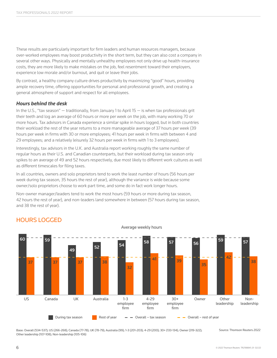These results are particularly important for firm leaders and human resources managers, because over-worked employees may boost productivity in the short term, but they can also cost a company in several other ways. Physically and mentally unhealthy employees not only drive up health-insurance costs, they are more likely to make mistakes on the job, feel resentment toward their employers, experience low morale and/or burnout, and quit or leave their jobs.

By contrast, a healthy company culture drives productivity by maximizing "good" hours, providing ample recovery time, offering opportunities for personal and professional growth, and creating a general atmosphere of support and respect for all employees.

#### *Hours behind the desk*

In the U.S., "tax season" — traditionally, from January 1 to April 15 — is when tax professionals grit their teeth and log an average of 60 hours or more per week on the job, with many working 70 or more hours. Tax advisors in Canada experience a similar spike in hours logged, but in both countries their workload the rest of the year returns to a more manageable average of 37 hours per week (39 hours per week in firms with 30 or more employees; 41 hours per week in firms with between 4 and 29 employees; and a relatively leisurely 32 hours per week in firms with 1 to 3 employees).

Interestingly, tax advisors in the U.K. and Australia report working roughly the same number of regular hours as their U.S. and Canadian counterparts, but their workload during tax season only spikes to an average of 49 and 52 hours respectively, due most likely to different work cultures as well as different timescales for filing taxes.

In all countries, owners and solo proprietors tend to work the least number of hours (56 hours per week during tax season, 35 hours the rest of year), although the variance is wide because some owner/solo proprietors choose to work part time, and some do in fact work longer hours.

Non-owner manager/leaders tend to work the most hours (59 hours or more during tax season, 42 hours the rest of year), and non-leaders land somewhere in between (57 hours during tax season, and 38 the rest of year).



Average weekly hours

#### HOURS LOGGED

Base: Overall (534-537); US (266-268); Canada (77-78); UK (78-79); Australia (99); 1-3 (201-203); 4-29 (200); 30+ (133-134); Owner (319-322); Other leadership (107-108); Non-leadership (105-106)

Source: Thomson Reuters 2022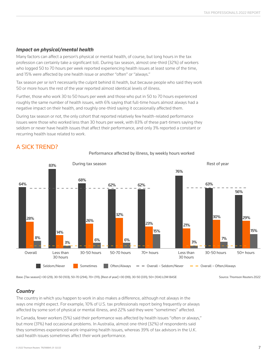#### *Impact on physical/mental health*

A SICK TREND?

Many factors can affect a person's physical or mental health, of course, but long hours in the tax profession can certainly take a significant toll. During tax season, almost one-third (32%) of workers who logged 50 to 70 hours per week reported experiencing health issues at least some of the time, and 15% were affected by one health issue or another "often" or "always."

Tax season *per se* isn't necessarily the culprit behind ill health, but because people who said they work 50 or more hours the rest of the year reported almost identical levels of illness.

Further, those who work 30 to 50 hours per week and those who put in 50 to 70 hours experienced roughly the same number of health issues, with 6% saying that full-time hours almost always had a negative impact on their health, and roughly one-third saying it occasionally affected them.

During tax season or not, the only cohort that reported relatively few health-related performance issues were those who worked less than 30 hours per week, with 83% of these part-timers saying they seldom or never have health issues that affect their performance, and only 3% reported a constant or recurring health issue related to work.



Performance affected by illness, by weekly hours worked

Base: [Tax season] <30 (29); 30-50 (103); 50-70 (294); 70+ (111); [Rest of year] <30 (99); 30-50 (331); 50+ (104) LOW BASE

Source: Thomson Reuters 2022

#### *Country*

The country in which you happen to work in also makes a difference, although not always in the ways one might expect. For example, 10% of U.S. tax professionals report being frequently or always affected by some sort of physical or mental illness, and 22% said they were "sometimes" affected.

In Canada, fewer workers (5%) said their performance was affected by health issues "often or always," but more (31%) had occasional problems. In Australia, almost one-third (32%) of respondents said they sometimes experienced work-impairing health issues, whereas 39% of tax advisors in the U.K. said health issues sometimes affect their work performance.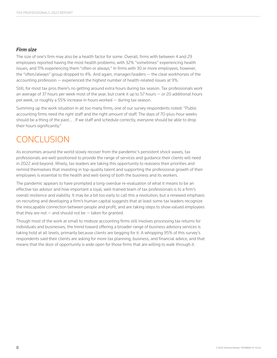#### *Firm size*

The size of one's firm may also be a health factor for some. Overall, firms with between 4 and 29 employees reported having the most health problems, with 32% "sometimes" experiencing health issues, and 11% experiencing them "often or always." In firms with 30 or more employees, however, the "often/always" group dropped to 4%. And again, manager/leaders — the clear workhorses of the accounting profession — experienced the highest number of health-related issues at 9%.

Still, for most tax pros there's no getting around extra hours during tax season. Tax professionals work an average of 37 hours per week most of the year, but crank it up to 57 hours — or 20 additional hours per week, or roughly a 55% increase in hours worked — during tax season.

Summing up the work situation in all too many firms, one of our survey respondents noted: "Public accounting firms need the *right* staff and the right *amount* of staff. The days of 70-plus-hour weeks should be a thing of the past… . If we staff and schedule correctly, everyone should be able to drop their hours significantly."

### CONCLUSION

As economies around the world slowly recover from the pandemic's persistent shock waves, tax professionals are well-positioned to provide the range of services and guidance their clients will need in 2022 and beyond. Wisely, tax leaders are taking this opportunity to reassess their priorities and remind themselves that investing in top-quality talent and supporting the professional growth of their employees is essential to the health and well-being of both the business and its workers.

The pandemic appears to have prompted a long-overdue re-evaluation of what it means to be an effective tax advisor and how important a loyal, well-trained team of tax professionals is to a firm's overall resilience and viability. It may be a bit too early to call this a revolution, but a renewed emphasis on recruiting and developing a firm's human capital suggests that at least some tax leaders recognize the inescapable connection between people and profit, and are taking steps to show valued employees that they are not  $-$  and should not be  $-$  taken for granted.

Though most of the work at small to midsize accounting firms still involves processing tax returns for individuals and businesses, the trend toward offering a broader range of business advisory services is taking hold at all levels, primarily because clients are begging for it. A whopping 95% of this survey's respondents said their clients are asking for more tax planning, business, and financial advice, and that means that the door of opportunity is wide open for those firms that are willing to walk through it.